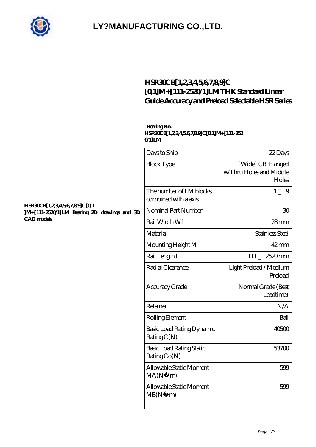

## **[LY?MANUFACTURING CO.,LTD.](https://gdet.net.cn)**

### **[HSR30CB\[1,2,3,4,5,6,7,8,9\]C](https://gdet.net.cn/high-temperature-linear-guide/hsr30cb-1-2-3-4-5-6-7-8-9-c-0-1-m-111-2520-1-lm.html) [\[0,1\]M+\[111-2520/1\]LM THK Standard Linear](https://gdet.net.cn/high-temperature-linear-guide/hsr30cb-1-2-3-4-5-6-7-8-9-c-0-1-m-111-2520-1-lm.html) [Guide Accuracy and Preload Selectable HSR Series](https://gdet.net.cn/high-temperature-linear-guide/hsr30cb-1-2-3-4-5-6-7-8-9-c-0-1-m-111-2520-1-lm.html)**

#### **Bearing No. HSR30CB[1,2,3,4,5,6,7,8,9]C[0,1]M+[111-252 0/1]LM**

|    | Days to Ship                                    | 22Days                                                 |
|----|-------------------------------------------------|--------------------------------------------------------|
|    | <b>Block Type</b>                               | [Wide] CB: Flanged<br>w/Thru Holes and Middle<br>Holes |
|    | The number of LM blocks<br>combined with a axis | 1<br>9                                                 |
| ЭĐ | Nominal Part Number                             | 30                                                     |
|    | Rail Width W1                                   | $28$ mm                                                |
|    | Material                                        | Stainless Steel                                        |
|    | Mounting Height M                               | $42 \text{mm}$                                         |
|    | Rail Length L                                   | 2520mm<br>111                                          |
|    | Radial Clearance                                | Light Preload / Medium<br>Preload                      |
|    | Accuracy Grade                                  | Normal Grade (Best<br>Leadtime)                        |
|    | Retainer                                        | N/A                                                    |
|    | Rolling Element                                 | Ball                                                   |
|    | Basic Load Rating Dynamic<br>RatingC(N)         | 40500                                                  |
|    | Basic Load Rating Static<br>Rating Co(N)        | 53700                                                  |
|    | Allowable Static Moment<br>MA(N)<br>m)          | 599                                                    |
|    | Allowable Static Moment<br>MB(N)<br>m)          | 599                                                    |
|    |                                                 |                                                        |

#### **[HSR30CB\[1,2,3,4,5,6,7,8,9\]C\[0,1](https://gdet.net.cn/pic-690915.html) [\]M+\[111-2520/1\]LM Bearing 2D drawings and 3D](https://gdet.net.cn/pic-690915.html) [CAD models](https://gdet.net.cn/pic-690915.html)**